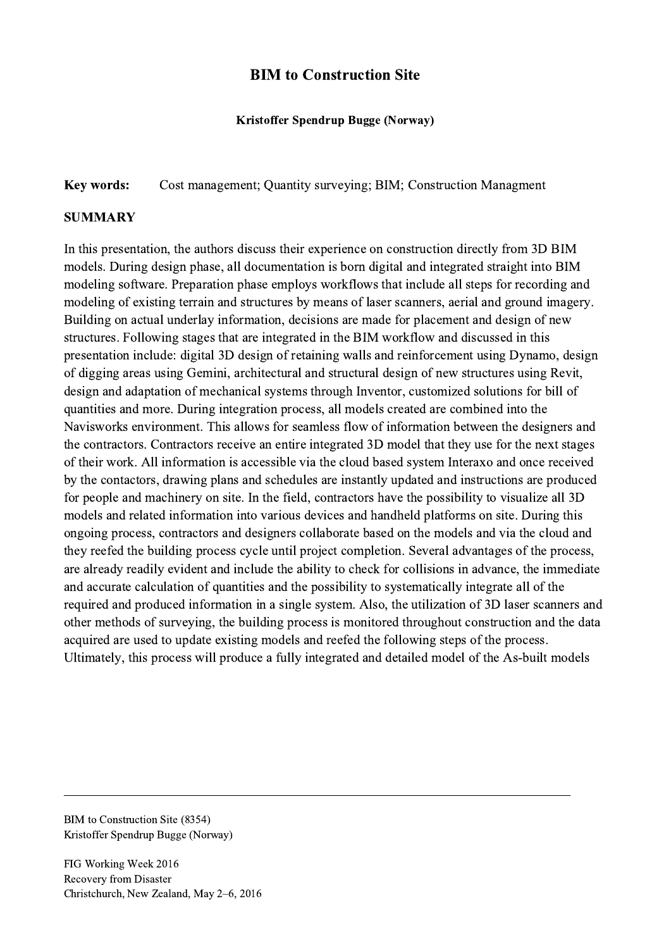## BIM to Construction Site

## Kristoffer Spendrup Bugge (Norway)

Key words: Cost management; Quantity surveying; BIM; Construction Managment

## **SUMMARY**

In this presentation, the authors discuss their experience on construction directly from 3D BIM models. During design phase, all documentation is born digital and integrated straight into BIM modeling software. Preparation phase employs workflows that include all steps for recording and modeling of existing terrain and structures by means of laser scanners, aerial and ground imagery. Building on actual underlay information, decisions are made for placement and design of new structures. Following stages that are integrated in the BIM workflow and discussed in this presentation include: digital 3D design of retaining walls and reinforcement using Dynamo, design of digging areas using Gemini, architectural and structural design of new structures using Revit, design and adaptation of mechanical systems through Inventor, customized solutions for bill of quantities and more. During integration process, all models created are combined into the Navisworks environment. This allows for seamless flow of information between the designers and the contractors. Contractors receive an entire integrated 3D model that they use for the next stages of their work. All information is accessible via the cloud based system Interaxo and once received by the contactors, drawing plans and schedules are instantly updated and instructions are produced for people and machinery on site. In the field, contractors have the possibility to visualize all 3D models and related information into various devices and handheld platforms on site. During this ongoing process, contractors and designers collaborate based on the models and via the cloud and they reefed the building process cycle until project completion. Several advantages of the process, are already readily evident and include the ability to check for collisions in advance, the immediate and accurate calculation of quantities and the possibility to systematically integrate all of the required and produced information in a single system. Also, the utilization of 3D laser scanners and other methods of surveying, the building process is monitored throughout construction and the data acquired are used to update existing models and reefed the following steps of the process. Ultimately, this process will produce a fully integrated and detailed model of the As-built models

 $\mathcal{L}_\mathcal{L} = \{ \mathcal{L}_\mathcal{L} = \{ \mathcal{L}_\mathcal{L} = \{ \mathcal{L}_\mathcal{L} = \{ \mathcal{L}_\mathcal{L} = \{ \mathcal{L}_\mathcal{L} = \{ \mathcal{L}_\mathcal{L} = \{ \mathcal{L}_\mathcal{L} = \{ \mathcal{L}_\mathcal{L} = \{ \mathcal{L}_\mathcal{L} = \{ \mathcal{L}_\mathcal{L} = \{ \mathcal{L}_\mathcal{L} = \{ \mathcal{L}_\mathcal{L} = \{ \mathcal{L}_\mathcal{L} = \{ \mathcal{L}_\mathcal{$ 

BIM to Construction Site (8354) Kristoffer Spendrup Bugge (Norway)

FIG Working Week 2016 Recovery from Disaster Christchurch, New Zealand, May 2–6, 2016